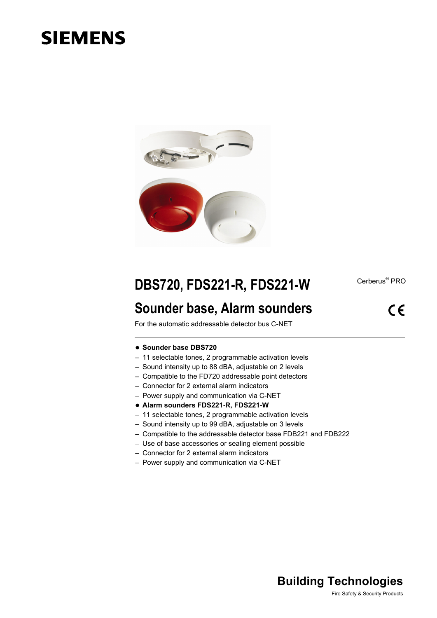# **SIEMENS**



Cerberus<sup>®</sup> PRO

# **DBS720, FDS221-R, FDS221-W**

## **Sounder base, Alarm sounders**

 $\epsilon$ 

For the automatic addressable detector bus C-NET

- **Sounder base DBS720**
- 11 selectable tones, 2 programmable activation levels
- Sound intensity up to 88 dBA, adjustable on 2 levels
- Compatible to the FD720 addressable point detectors
- Connector for 2 external alarm indicators
- Power supply and communication via C-NET
- **Alarm sounders FDS221-R, FDS221-W**
- 11 selectable tones, 2 programmable activation levels
- Sound intensity up to 99 dBA, adjustable on 3 levels
- Compatible to the addressable detector base FDB221 and FDB222
- Use of base accessories or sealing element possible
- Connector for 2 external alarm indicators
- Power supply and communication via C-NET

## **Building Technologies**

Fire Safety & Security Products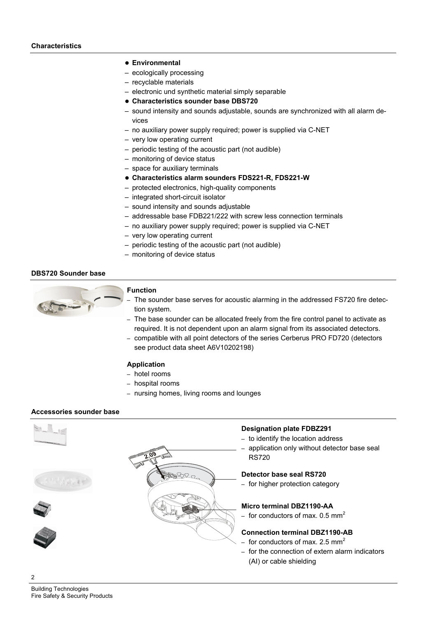#### **Environmental**

- ecologically processing
- recyclable materials
- electronic und synthetic material simply separable
- **Characteristics sounder base DBS720**
- sound intensity and sounds adjustable, sounds are synchronized with all alarm devices
- no auxiliary power supply required; power is supplied via C-NET
- very low operating current
- periodic testing of the acoustic part (not audible)
- monitoring of device status
- space for auxiliary terminals
- **Characteristics alarm sounders FDS221-R, FDS221-W**
- protected electronics, high-quality components
- integrated short-circuit isolator
- sound intensity and sounds adjustable
- addressable base FDB221/222 with screw less connection terminals
- no auxiliary power supply required; power is supplied via C-NET
- very low operating current
- periodic testing of the acoustic part (not audible)
- monitoring of device status

#### **DBS720 Sounder base**



#### **Function**

- The sounder base serves for acoustic alarming in the addressed FS720 fire detection system.
- The base sounder can be allocated freely from the fire control panel to activate as required. It is not dependent upon an alarm signal from its associated detectors.
- compatible with all point detectors of the series Cerberus PRO FD720 (detectors see product data sheet A6V10202198)

#### **Application**

- hotel rooms
- hospital rooms
- nursing homes, living rooms and lounges

#### **Accessories sounder base**



 $\mathcal{D}$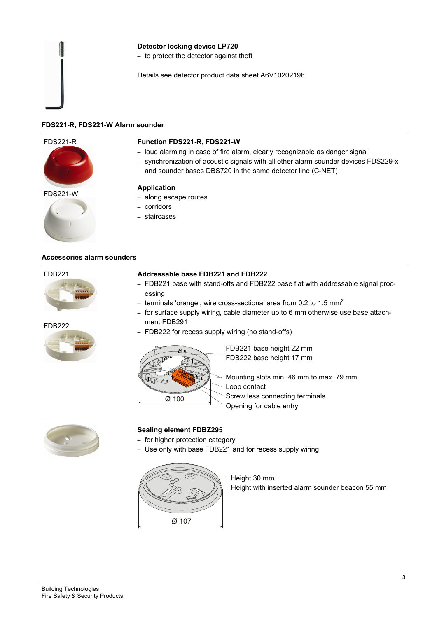#### **Detector locking device LP720**

– to protect the detector against theft

Details see detector product data sheet A6V10202198

#### **FDS221-R, FDS221-W Alarm sounder**

#### FDS221-R



#### **Function FDS221-R, FDS221-W**

- loud alarming in case of fire alarm, clearly recognizable as danger signal
- synchronization of acoustic signals with all other alarm sounder devices FDS229-x
- and sounder bases DBS720 in the same detector line (C-NET)



## FDS221-W **Application**

- along escape routes
- corridors
- staircases

#### **Accessories alarm sounders**

#### FDB221



#### FDB222



#### **Addressable base FDB221 and FDB222**

- FDB221 base with stand-offs and FDB222 base flat with addressable signal processing
- terminals 'orange', wire cross-sectional area from 0.2 to 1.5  $mm<sup>2</sup>$
- for surface supply wiring, cable diameter up to 6 mm otherwise use base attachment FDB291
- FDB222 for recess supply wiring (no stand-offs)



FDB221 base height 22 mm FDB222 base height 17 mm

Mounting slots min. 46 mm to max. 79 mm Loop contact Screw less connecting terminals Opening for cable entry



#### **Sealing element FDBZ295**

- for higher protection category
- Use only with base FDB221 and for recess supply wiring



Height 30 mm Height with inserted alarm sounder beacon 55 mm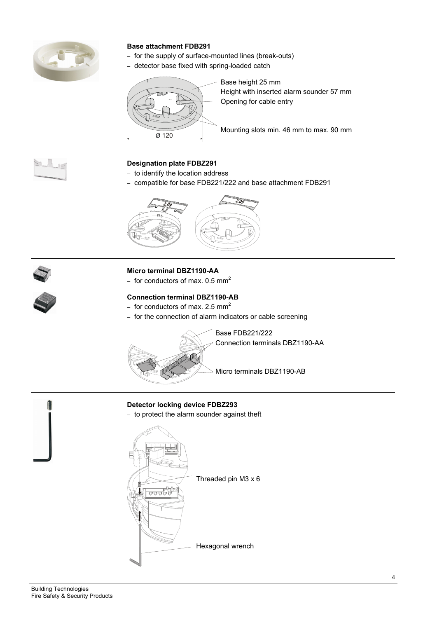

### **Base attachment FDB291**

- for the supply of surface-mounted lines (break-outs)
- detector base fixed with spring-loaded catch



Base height 25 mm Height with inserted alarm sounder 57 mm Opening for cable entry

 $\overline{\otimes}$  Mounting slots min. 46 mm to max. 90 mm

 $\sum_{i=1}^n \frac{1}{i}$ 

#### **Designation plate FDBZ291**

- to identify the location address
- compatible for base FDB221/222 and base attachment FDB291



#### **Micro terminal DBZ1190-AA**

– for conductors of max.  $0.5$  mm<sup>2</sup>

#### **Connection terminal DBZ1190-AB**

- for conductors of max. 2.5 mm<sup>2</sup>
- for the connection of alarm indicators or cable screening



Base FDB221/222 Connection terminals DBZ1190-AA

Micro terminals DBZ1190-AB

#### **Detector locking device FDBZ293**

– to protect the alarm sounder against theft

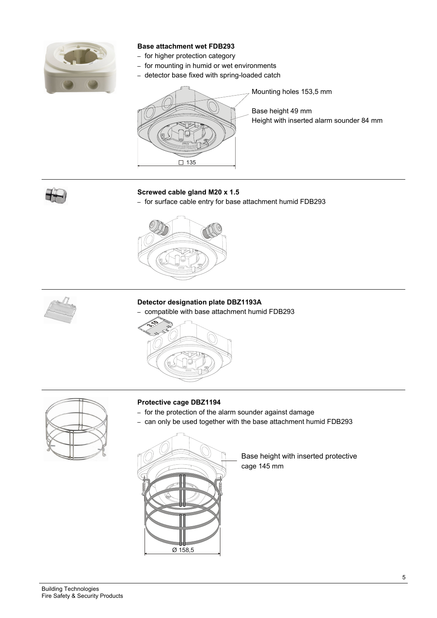

### **Base attachment wet FDB293**

- for higher protection category
- for mounting in humid or wet environments
- detector base fixed with spring-loaded catch



Mounting holes 153,5 mm

Base height 49 mm Height with inserted alarm sounder 84 mm

#### **Screwed cable gland M20 x 1.5**

– for surface cable entry for base attachment humid FDB293





#### **Detector designation plate DBZ1193A**

– compatible with base attachment humid FDB293





#### **Protective cage DBZ1194**

- for the protection of the alarm sounder against damage
- can only be used together with the base attachment humid FDB293



Base height with inserted protective cage 145 mm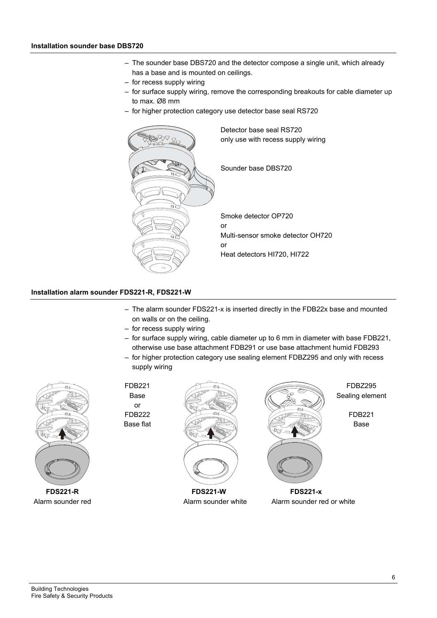- The sounder base DBS720 and the detector compose a single unit, which already has a base and is mounted on ceilings.
- for recess supply wiring
- for surface supply wiring, remove the corresponding breakouts for cable diameter up to max. Ø8 mm
- for higher protection category use detector base seal RS720



#### **Installation alarm sounder FDS221-R, FDS221-W**

- The alarm sounder FDS221-x is inserted directly in the FDB22x base and mounted on walls or on the ceiling.
- for recess supply wiring
- for surface supply wiring, cable diameter up to 6 mm in diameter with base FDB221, otherwise use base attachment FDB291 or use base attachment humid FDB293
- for higher protection category use sealing element FDBZ295 and only with recess supply wiring



FDB221 FDBZ295 or



Base  $\sqrt{2\pi}$   $\sqrt{2\pi}$   $\sqrt{2\pi}$  Sealing element  $FDB222$  FDB221 Base flat  $\left(\begin{array}{ccc} \bullet & \bullet & \bullet \\ \bullet & \bullet & \bullet \end{array}\right)$  Base



Alarm sounder red **Alarm sounder white** Alarm sounder red or white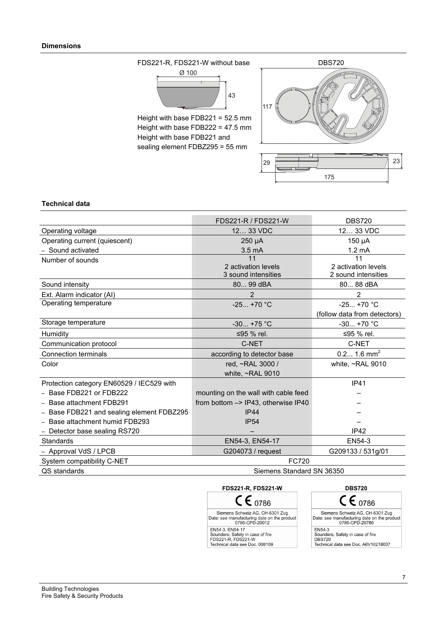

Height with base FDB222 = 47.5 mm Height with base FDB221 and sealing element FDBZ295 = 55 mm



#### **Technical data**

|                                           | FDS221-R / FDS221-W                  | <b>DBS720</b>                |  |  |
|-------------------------------------------|--------------------------------------|------------------------------|--|--|
| Operating voltage                         | 12 33 VDC                            | 12 33 VDC                    |  |  |
| Operating current (quiescent)             | $250 \mu A$                          | 150 µA                       |  |  |
| - Sound activated                         | $3.5 \text{ mA}$                     | $1.2 \text{ mA}$             |  |  |
| Number of sounds                          | 11                                   | 11                           |  |  |
|                                           | 2 activation levels                  | 2 activation levels          |  |  |
|                                           | 3 sound intensities                  | 2 sound intensities          |  |  |
| Sound intensity                           | 80 99 dBA                            | 80 88 dBA                    |  |  |
| Ext. Alarm indicator (AI)                 | 2                                    | $\overline{2}$               |  |  |
| Operating temperature                     | $-25+70$ °C                          | $-25+70$ °C                  |  |  |
|                                           |                                      | (follow data from detectors) |  |  |
| Storage temperature                       | $-30 + 75$ °C                        | $-30+70$ °C                  |  |  |
| Humidity                                  | ≤95 % rel.                           | ≤95 % rel.                   |  |  |
| Communication protocol                    | C-NET                                | C-NET                        |  |  |
| <b>Connection terminals</b>               | according to detector base           | $0.2 1.6$ mm <sup>2</sup>    |  |  |
| Color                                     | red, ~RAL 3000 /                     | white, $\sim$ RAL 9010       |  |  |
|                                           | white, $\sim$ RAL 9010               |                              |  |  |
| Protection category EN60529 / IEC529 with |                                      | <b>IP41</b>                  |  |  |
| - Base FDB221 or FDB222                   | mounting on the wall with cable feed |                              |  |  |
| - Base attachment FDB291                  | from bottom -> IP43, otherwise IP40  |                              |  |  |
| - Base FDB221 and sealing element FDBZ295 | IP44                                 |                              |  |  |
| Base attachment humid FDB293              | IP <sub>54</sub>                     |                              |  |  |
| - Detector base sealing RS720             |                                      | IP42                         |  |  |
| <b>Standards</b>                          | EN54-3, EN54-17                      | EN54-3                       |  |  |
| - Approval VdS / LPCB                     | G204073 / request                    | G209133 / 531g/01            |  |  |
| System compatibility C-NET                | <b>FC720</b>                         |                              |  |  |
| QS standards                              | Siemens Standard SN 36350            |                              |  |  |